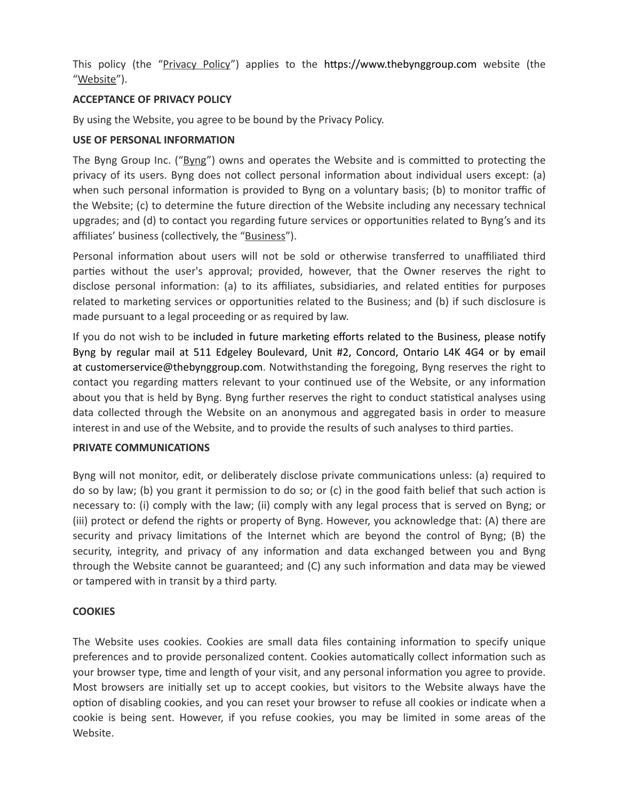This policy (the "Privacy Policy") applies to the https://www.thebynggroup.com website (the "Website").

## **ACCEPTANCE OF PRIVACY POLICY**

By using the Website, you agree to be bound by the Privacy Policy.

## **USE OF PERSONAL INFORMATION**

The Byng Group Inc. ("Byng") owns and operates the Website and is committed to protecting the privacy of its users. Byng does not collect personal information about individual users except: (a) when such personal information is provided to Byng on a voluntary basis; (b) to monitor traffic of the Website; (c) to determine the future direction of the Website including any necessary technical upgrades; and (d) to contact you regarding future services or opportunities related to Byng's and its affiliates' business (collectively, the "Business").

Personal information about users will not be sold or otherwise transferred to unaffiliated third parties without the user's approval; provided, however, that the Owner reserves the right to disclose personal information: (a) to its affiliates, subsidiaries, and related entities for purposes related to marketing services or opportunities related to the Business; and (b) if such disclosure is made pursuant to a legal proceeding or as required by law.

If you do not wish to be included in future marketing efforts related to the Business, please notify Byng by regular mail at 511 Edgeley Boulevard, Unit #2, Concord, Ontario L4K 4G4 or by email at customerservice@thebynggroup.com. Notwithstanding the foregoing, Byng reserves the right to contact you regarding matters relevant to your continued use of the Website, or any information about you that is held by Byng. Byng further reserves the right to conduct statistical analyses using data collected through the Website on an anonymous and aggregated basis in order to measure interest in and use of the Website, and to provide the results of such analyses to third parties.

### **PRIVATE COMMUNICATIONS**

Byng will not monitor, edit, or deliberately disclose private communications unless: (a) required to do so by law; (b) you grant it permission to do so; or (c) in the good faith belief that such action is necessary to: (i) comply with the law; (ii) comply with any legal process that is served on Byng; or (iii) protect or defend the rights or property of Byng. However, you acknowledge that: (A) there are security and privacy limitations of the Internet which are beyond the control of Byng; (B) the security, integrity, and privacy of any information and data exchanged between you and Byng through the Website cannot be guaranteed; and (C) any such information and data may be viewed or tampered with in transit by a third party.

# **COOKIES**

The Website uses cookies. Cookies are small data files containing information to specify unique preferences and to provide personalized content. Cookies automatically collect information such as your browser type, time and length of your visit, and any personal information you agree to provide. Most browsers are initially set up to accept cookies, but visitors to the Website always have the option of disabling cookies, and you can reset your browser to refuse all cookies or indicate when a cookie is being sent. However, if you refuse cookies, you may be limited in some areas of the Website.